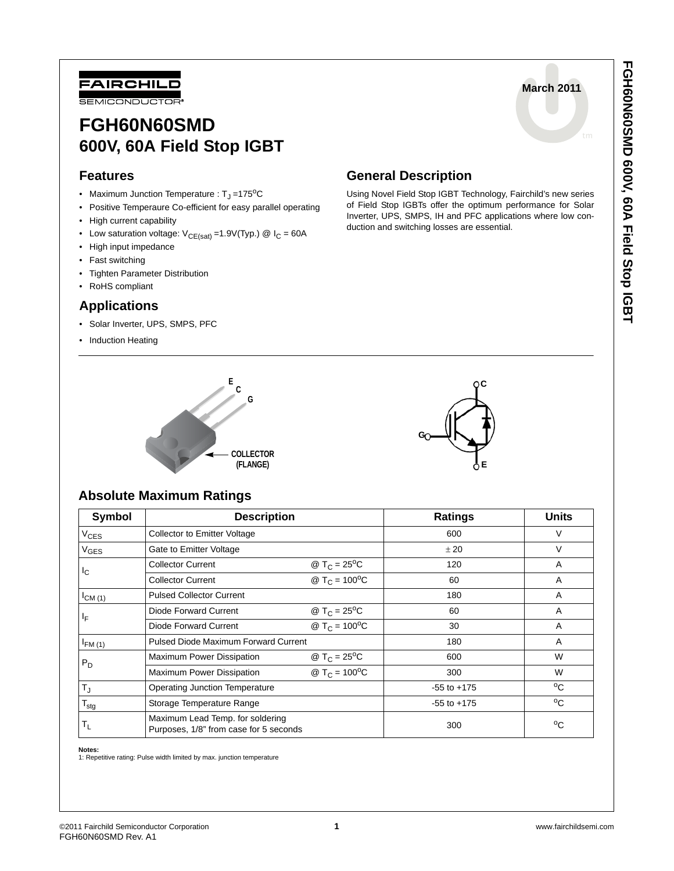

# **FGH60N60SMD 600V, 60A Field Stop IGBT**

### **Features**

- Maximum Junction Temperature :  $T_J = 175^{\circ}C$
- Positive Temperaure Co-efficient for easy parallel operating
- High current capability
- Low saturation voltage:  $V_{CE(sat)} = 1.9V(Typ.)$  @  $I_C = 60A$
- High input impedance
- Fast switching
- Tighten Parameter Distribution
- RoHS compliant

### **Applications**

- Solar Inverter, UPS, SMPS, PFC
- Induction Heating



Using Novel Field Stop IGBT Technology, Fairchild's new series of Field Stop IGBTs offer the optimum performance for Solar Inverter, UPS, SMPS, IH and PFC applications where low conduction and switching losses are essential.





### **Absolute Maximum Ratings**

| Symbol           | <b>Description</b>                                                         |                                   | <b>Ratings</b>  | <b>Units</b> |  |
|------------------|----------------------------------------------------------------------------|-----------------------------------|-----------------|--------------|--|
| $V_{CES}$        | <b>Collector to Emitter Voltage</b>                                        |                                   | 600             | V            |  |
| $V_{\text{GES}}$ | Gate to Emitter Voltage                                                    |                                   | ± 20            | V            |  |
| I <sub>C</sub>   | <b>Collector Current</b>                                                   | @ T <sub>C</sub> = $25^{\circ}$ C | 120             | A            |  |
|                  | <b>Collector Current</b>                                                   | @ $T_C = 100^{\circ}C$            | 60              | A            |  |
| $I_{CM (1)}$     | <b>Pulsed Collector Current</b>                                            |                                   | 180             | A            |  |
| ΙF               | Diode Forward Current                                                      | @ T <sub>C</sub> = $25^{\circ}$ C | 60              | A            |  |
|                  | Diode Forward Current                                                      | @ $T_C = 100^{\circ}C$            | 30              | A            |  |
| $I_{FM(1)}$      | Pulsed Diode Maximum Forward Current                                       |                                   | 180             | A            |  |
| $P_D$            | Maximum Power Dissipation                                                  | @ T <sub>C</sub> = $25^{\circ}$ C | 600             | W            |  |
|                  | Maximum Power Dissipation                                                  | @ $T_C = 100^{\circ}C$            | 300             | W            |  |
| $T_{\rm J}$      | <b>Operating Junction Temperature</b>                                      |                                   | $-55$ to $+175$ | °C           |  |
| $T_{\text{stg}}$ | Storage Temperature Range                                                  |                                   | $-55$ to $+175$ | $^{\circ}$ C |  |
| T <sub>L</sub>   | Maximum Lead Temp. for soldering<br>Purposes, 1/8" from case for 5 seconds |                                   | 300             | $^{\circ}$ C |  |

**Notes:**

1: Repetitive rating: Pulse width limited by max. junction temperature

**March 2011**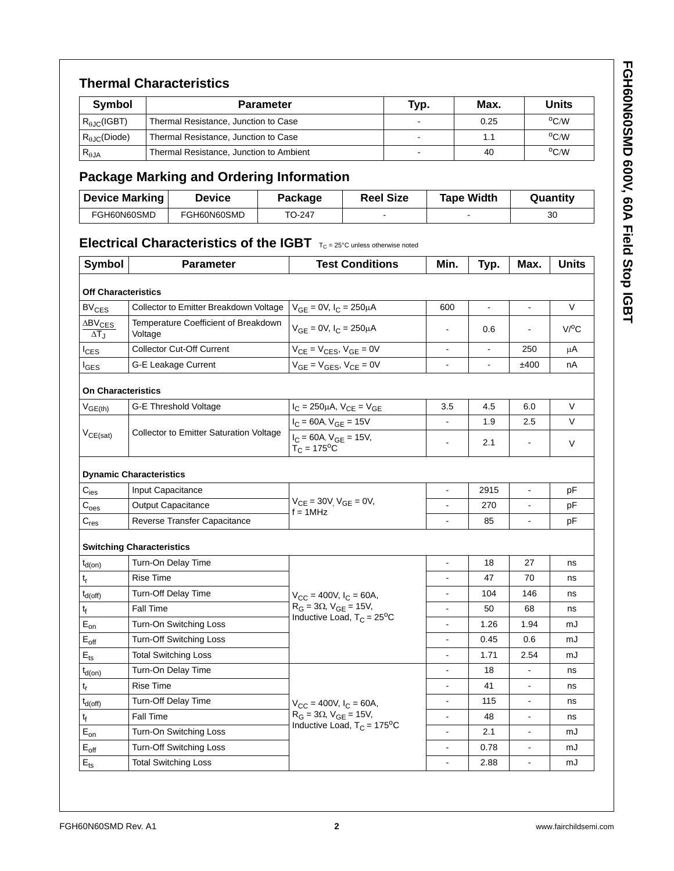## **Thermal Characteristics**

| <b>Symbol</b><br><b>Parameter</b> |                                         | Typ.   | Max. | Units          |  |
|-----------------------------------|-----------------------------------------|--------|------|----------------|--|
| $R_{\theta\text{JC}}$ (IGBT)      | Thermal Resistance, Junction to Case    | $\sim$ | 0.25 | $^{\circ}$ C/W |  |
| $R_{AIC}$ (Diode)                 | Thermal Resistance, Junction to Case    |        |      | $\rm ^{o}C/W$  |  |
| $R_{\theta$ JA                    | Thermal Resistance, Junction to Ambient | -      | 40   | $\rm ^{o}C/W$  |  |

# **Package Marking and Ordering Information**

| <b>Device Marking</b> | Device      | Package | <b>Reel Size</b>         | <b>Tape Width</b> | Quantity |
|-----------------------|-------------|---------|--------------------------|-------------------|----------|
| FGH60N60SMD           | FGH60N60SMD | TO-247  | $\overline{\phantom{0}}$ |                   | 30       |

# **Electrical Characteristics of the IGBT**  $T_{C} = 25^{\circ}C$  unless otherwise noted

| Symbol                                     | Parameter                                       | <b>Test Conditions</b>                                       | Min.                     | Typ.           | Max.                     | <b>Units</b>       |
|--------------------------------------------|-------------------------------------------------|--------------------------------------------------------------|--------------------------|----------------|--------------------------|--------------------|
| <b>Off Characteristics</b>                 |                                                 |                                                              |                          |                |                          |                    |
| <b>BV<sub>CES</sub></b>                    | Collector to Emitter Breakdown Voltage          | $V_{GE} = 0V$ , $I_C = 250 \mu A$                            | 600                      | $\blacksquare$ | $\blacksquare$           | $\vee$             |
| $\Delta$ BV <sub>CES</sub><br>$\Delta T_J$ | Temperature Coefficient of Breakdown<br>Voltage | $V_{GE} = 0V$ , $I_C = 250 \mu A$                            |                          | 0.6            |                          | $V$ <sup>O</sup> C |
| <sup>I</sup> CES                           | <b>Collector Cut-Off Current</b>                | $V_{CE} = V_{CES}$ , $V_{GE} = 0V$                           | $\overline{a}$           |                | 250                      | μA                 |
| <b>I</b> GES                               | G-E Leakage Current                             | $V_{GE} = V_{GES}$ , $V_{CE} = 0V$                           |                          |                | ±400                     | nA                 |
| <b>On Characteristics</b>                  |                                                 |                                                              |                          |                |                          |                    |
| $V_{GE(th)}$                               | <b>G-E Threshold Voltage</b>                    | $I_C = 250 \mu A$ , $V_{CE} = V_{GE}$                        | 3.5                      | 4.5            | 6.0                      | V                  |
|                                            |                                                 | $I_C = 60A$ , $V_{GE} = 15V$                                 | L,                       | 1.9            | 2.5                      | $\vee$             |
| $V_{CE(sat)}$                              | <b>Collector to Emitter Saturation Voltage</b>  | $I_C = 60A$ , $V_{GE} = 15V$ ,<br>$T_C = 175$ <sup>o</sup> C | ä,                       | 2.1            | $\sim$                   | V                  |
|                                            | <b>Dynamic Characteristics</b>                  |                                                              |                          |                |                          |                    |
| $\mathbf{C}_{\mathsf{ies}}$                | Input Capacitance                               |                                                              | $\blacksquare$           | 2915           | $\blacksquare$           | pF                 |
| C <sub>oes</sub>                           | <b>Output Capacitance</b>                       | $V_{CE} = 30V$ , $V_{GE} = 0V$ ,<br>$f = 1$ MHz              | $\overline{a}$           | 270            | $\overline{\phantom{a}}$ | pF                 |
| $C_{res}$                                  | Reverse Transfer Capacitance                    |                                                              | $\overline{a}$           | 85             | $\blacksquare$           | pF                 |
|                                            | <b>Switching Characteristics</b>                |                                                              |                          |                |                          |                    |
| $t_{d(on)}$                                | Turn-On Delay Time                              |                                                              | $\overline{a}$           | 18             | 27                       | ns                 |
| t,                                         | <b>Rise Time</b>                                |                                                              |                          | 47             | 70                       | ns                 |
| $t_{d(off)}$                               | <b>Turn-Off Delay Time</b>                      | $V_{CC}$ = 400V, $I_C$ = 60A,                                |                          | 104            | 146                      | ns                 |
| t <sub>f</sub>                             | Fall Time                                       | $R_G = 3\Omega$ , $V_{GE} = 15V$ ,                           | L,                       | 50             | 68                       | ns                 |
| $E_{on}$                                   | Turn-On Switching Loss                          | Inductive Load, $T_C = 25^{\circ}C$                          | $\overline{a}$           | 1.26           | 1.94                     | mJ                 |
| $E_{\text{off}}$                           | <b>Turn-Off Switching Loss</b>                  |                                                              | $\overline{a}$           | 0.45           | 0.6                      | mJ                 |
| $E$ <sub>ts</sub>                          | <b>Total Switching Loss</b>                     |                                                              | $\overline{a}$           | 1.71           | 2.54                     | mJ                 |
| $t_{d(on)}$                                | Turn-On Delay Time                              |                                                              | L,                       | 18             |                          | ns                 |
| $t_{r}$                                    | <b>Rise Time</b>                                |                                                              | $\overline{\phantom{a}}$ | 41             | $\blacksquare$           | ns                 |
| $t_{d(off)}$                               | Turn-Off Delay Time                             | $V_{CC}$ = 400V, $I_C$ = 60A,                                | $\overline{\phantom{a}}$ | 115            | $\blacksquare$           | ns                 |
| t <sub>f</sub>                             | Fall Time                                       | $R_G = 3\Omega$ , $V_{GE} = 15V$ ,                           |                          | 48             |                          | ns                 |
| $\mathsf{E}_{\mathsf{on}}$                 | Turn-On Switching Loss                          | Inductive Load, $T_C = 175$ <sup>o</sup> C                   | $\overline{a}$           | 2.1            |                          | mJ                 |
| $E_{\text{off}}$                           | <b>Turn-Off Switching Loss</b>                  |                                                              | $\overline{a}$           | 0.78           | $\blacksquare$           | mJ                 |
| $E$ <sub>ts</sub>                          | <b>Total Switching Loss</b>                     |                                                              | L.                       | 2.88           | $\overline{\phantom{a}}$ | mJ                 |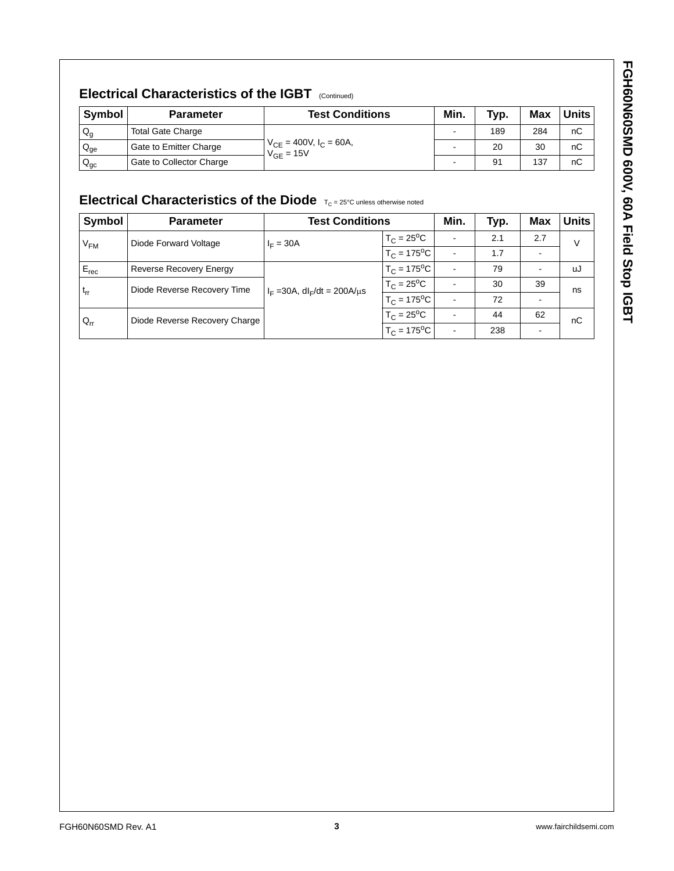# **Electrical Characteristics of the IGBT** (Continued)

| <b>Symbol</b>            | <b>Parameter</b>         | <b>Test Conditions</b>                          | Min. | Typ. | Max | Units i |
|--------------------------|--------------------------|-------------------------------------------------|------|------|-----|---------|
| $Q_{\rm q}$              | <b>Total Gate Charge</b> |                                                 | ٠    | 189  | 284 | nC      |
| $Q_{ge}$                 | Gate to Emitter Charge   | $V_{CE}$ = 400V, $I_C$ = 60A,<br>$V_{GF} = 15V$ |      | 20   | 30  | nC      |
| $\mathsf{Q}_\mathsf{gc}$ | Gate to Collector Charge |                                                 | -    | 91   | 137 | nC      |

# Electrical Characteristics of the Diode **TC = 25°C unless otherwise noted**

| Symbol    | <b>Parameter</b>              | <b>Test Conditions</b>                      |                            | Min.                     | Typ. | Max | <b>Units</b> |
|-----------|-------------------------------|---------------------------------------------|----------------------------|--------------------------|------|-----|--------------|
| $V_{FM}$  | Diode Forward Voltage         | $I_F = 30A$                                 | $T_C = 25^{\circ}C$        | $\overline{\phantom{a}}$ | 2.1  | 2.7 | V            |
|           |                               |                                             | $T_C = 175$ <sup>o</sup> C | $\blacksquare$           | 1.7  |     |              |
| $E_{rec}$ | Reverse Recovery Energy       |                                             | $T_C = 175$ <sup>o</sup> C | $\blacksquare$           | 79   |     | uJ           |
| $t_{rr}$  | Diode Reverse Recovery Time   | $I_F = 30A$ , dl <sub>F</sub> /dt = 200A/us | $T_C = 25^{\circ}C$        | $\blacksquare$           | 30   | 39  | ns           |
|           |                               |                                             | $T_C = 175$ <sup>o</sup> C | $\overline{\phantom{0}}$ | 72   |     |              |
| $Q_{rr}$  | Diode Reverse Recovery Charge |                                             | $T_C = 25^{\circ}C$        | $\blacksquare$           | 44   | 62  | nC           |
|           |                               |                                             | $T_C = 175$ <sup>o</sup> C | $\blacksquare$           | 238  |     |              |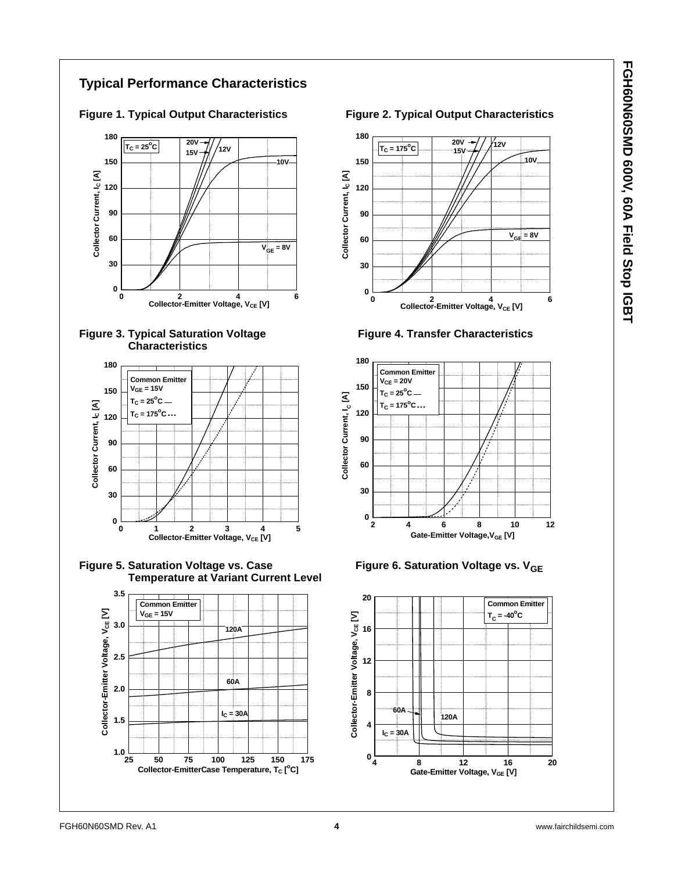## **Typical Performance Characteristics**







Figure 5. Saturation Voltage vs. Case **Figure 6. Saturation Voltage vs. V<sub>GE</sub> Temperature at Variant Current Level**



Figure 1. Typical Output Characteristics **Figure 2. Typical Output Characteristics** 





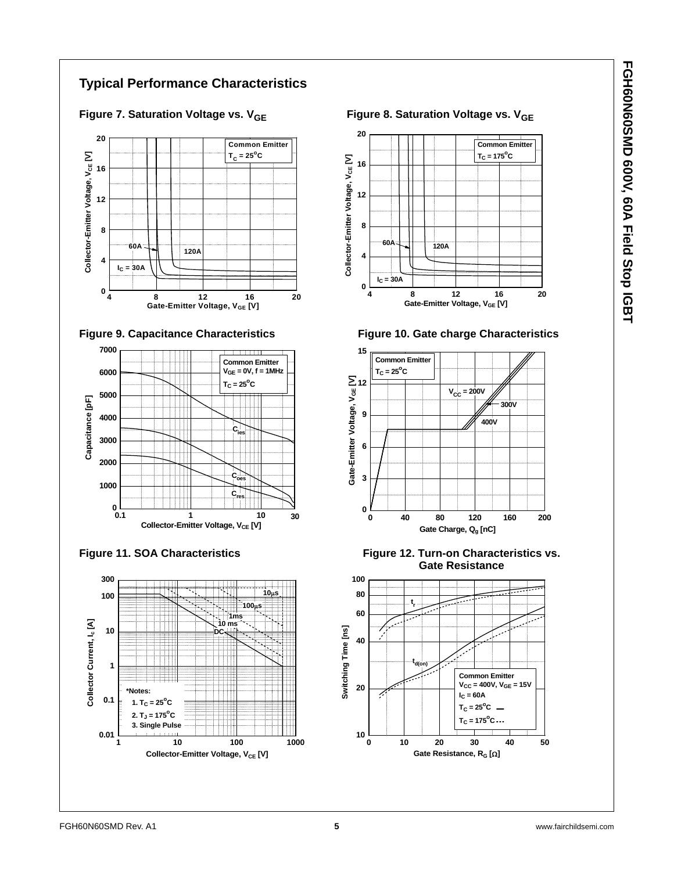## **Typical Performance Characteristics**











**Figure 7. Saturation Voltage vs. V<sub>GE</sub> Figure 8. Saturation Voltage vs. V<sub>GE</sub>** 





Figure 11. SOA Characteristics **Figure 12. Turn-on Characteristics vs. Gate Resistance**

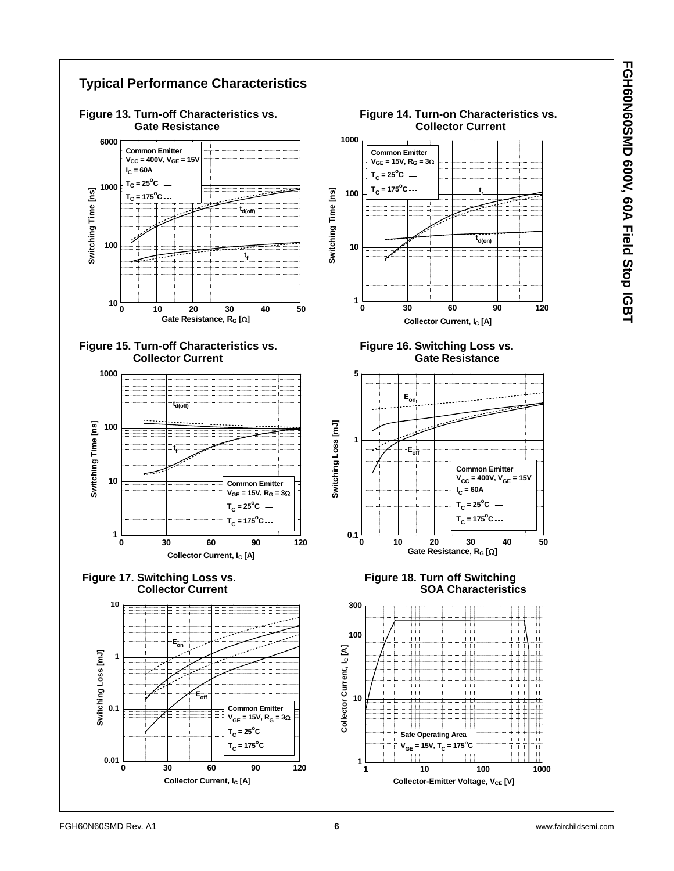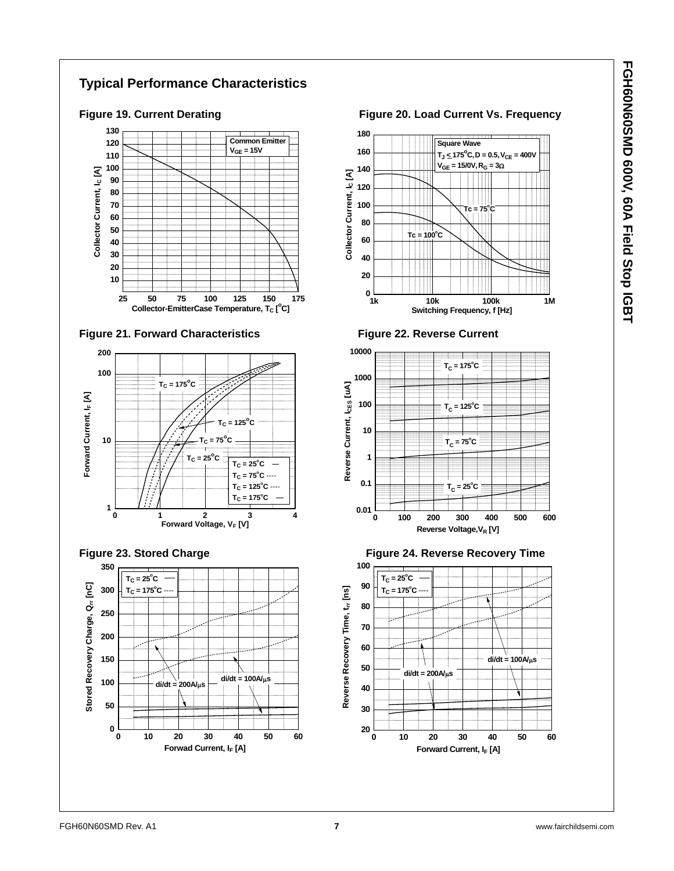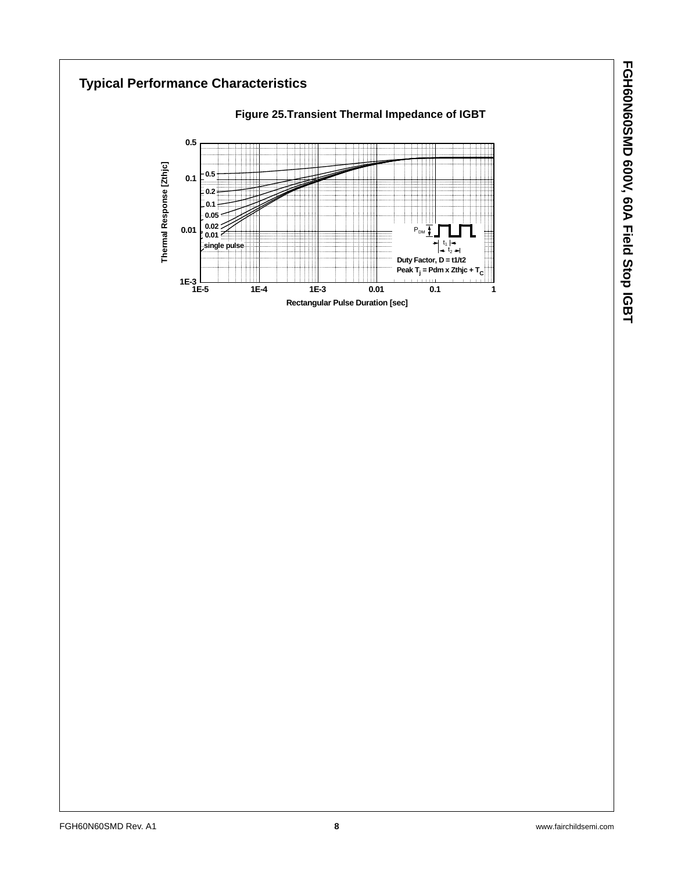**Typical Performance Characteristics Figure 25.Transient Thermal Impedance of IGBT 0.5** Thermal Response [Zthjc] **Thermal Response [Zthjc] 0.5** n : **0.1 0.2 0.1 0.05** T **0.02 0.01**  $P_{DM}$ **0.01**  $t_1$ **single pulse**  $t<sub>2</sub>$ tii **Duty Factor, D = t1/t2 Peak T<sub>j</sub> = Pdm x Zthjc + T<sub>C</sub>**  $1E-3$ <br>1E-5 **1E-5 1E-4 1E-3 0.01 0.1 1 Rectangular Pulse Duration [sec]**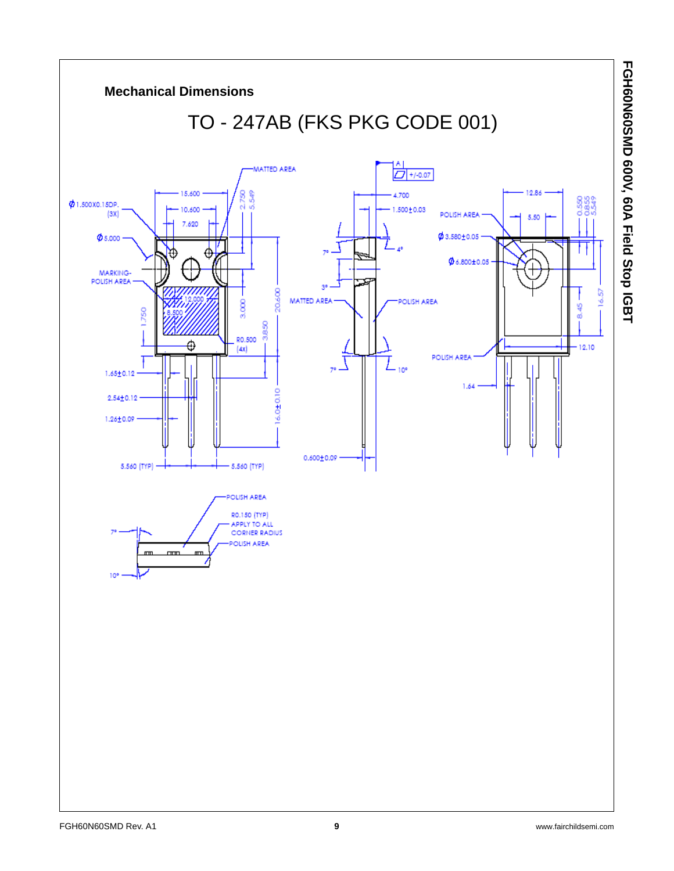